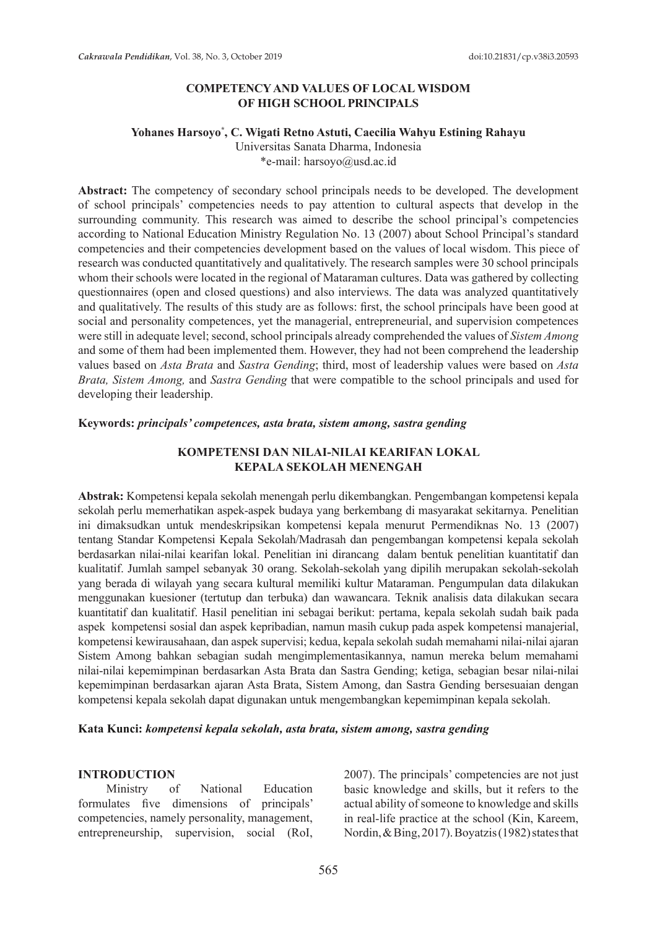### **COMPETENCY AND VALUES OF LOCAL WISDOM OF HIGH SCHOOL PRINCIPALS**

### **Yohanes Harsoyo\* , C. Wigati Retno Astuti, Caecilia Wahyu Estining Rahayu**

Universitas Sanata Dharma, Indonesia \*e-mail: harsoyo@usd.ac.id

**Abstract:** The competency of secondary school principals needs to be developed. The development of school principals' competencies needs to pay attention to cultural aspects that develop in the surrounding community. This research was aimed to describe the school principal's competencies according to National Education Ministry Regulation No. 13 (2007) about School Principal's standard competencies and their competencies development based on the values of local wisdom. This piece of research was conducted quantitatively and qualitatively. The research samples were 30 school principals whom their schools were located in the regional of Mataraman cultures. Data was gathered by collecting questionnaires (open and closed questions) and also interviews. The data was analyzed quantitatively and qualitatively. The results of this study are as follows: first, the school principals have been good at social and personality competences, yet the managerial, entrepreneurial, and supervision competences were still in adequate level; second, school principals already comprehended the values of *Sistem Among* and some of them had been implemented them. However, they had not been comprehend the leadership values based on *Asta Brata* and *Sastra Gending*; third, most of leadership values were based on *Asta Brata, Sistem Among,* and *Sastra Gending* that were compatible to the school principals and used for developing their leadership.

#### **Keywords:** *principals' competences, asta brata, sistem among, sastra gending*

## **KOMPETENSI DAN NILAI-NILAI KEARIFAN LOKAL KEPALA SEKOLAH MENENGAH**

**Abstrak:** Kompetensi kepala sekolah menengah perlu dikembangkan. Pengembangan kompetensi kepala sekolah perlu memerhatikan aspek-aspek budaya yang berkembang di masyarakat sekitarnya. Penelitian ini dimaksudkan untuk mendeskripsikan kompetensi kepala menurut Permendiknas No. 13 (2007) tentang Standar Kompetensi Kepala Sekolah/Madrasah dan pengembangan kompetensi kepala sekolah berdasarkan nilai-nilai kearifan lokal. Penelitian ini dirancang dalam bentuk penelitian kuantitatif dan kualitatif. Jumlah sampel sebanyak 30 orang. Sekolah-sekolah yang dipilih merupakan sekolah-sekolah yang berada di wilayah yang secara kultural memiliki kultur Mataraman. Pengumpulan data dilakukan menggunakan kuesioner (tertutup dan terbuka) dan wawancara. Teknik analisis data dilakukan secara kuantitatif dan kualitatif. Hasil penelitian ini sebagai berikut: pertama, kepala sekolah sudah baik pada aspek kompetensi sosial dan aspek kepribadian, namun masih cukup pada aspek kompetensi manajerial, kompetensi kewirausahaan, dan aspek supervisi; kedua, kepala sekolah sudah memahami nilai-nilai ajaran Sistem Among bahkan sebagian sudah mengimplementasikannya, namun mereka belum memahami nilai-nilai kepemimpinan berdasarkan Asta Brata dan Sastra Gending; ketiga, sebagian besar nilai-nilai kepemimpinan berdasarkan ajaran Asta Brata, Sistem Among, dan Sastra Gending bersesuaian dengan kompetensi kepala sekolah dapat digunakan untuk mengembangkan kepemimpinan kepala sekolah.

#### **Kata Kunci:** *kompetensi kepala sekolah, asta brata, sistem among, sastra gending*

#### **INTRODUCTION**

Ministry of National Education formulates five dimensions of principals' competencies, namely personality, management, entrepreneurship, supervision, social (RoI, 2007). The principals' competencies are not just basic knowledge and skills, but it refers to the actual ability of someone to knowledge and skills in real-life practice at the school (Kin, Kareem, Nordin, & Bing, 2017). Boyatzis (1982) states that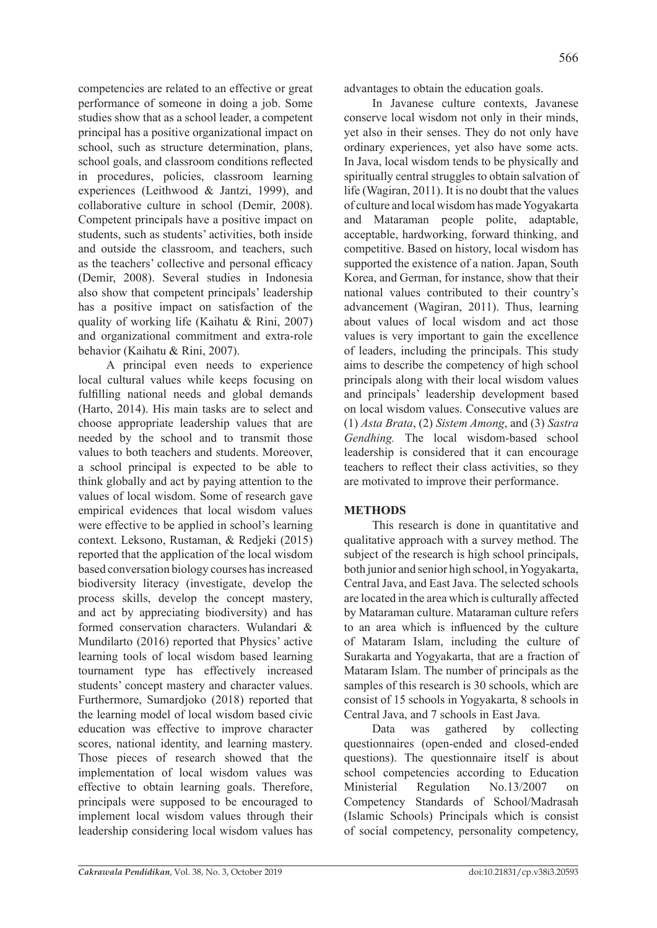competencies are related to an effective or great performance of someone in doing a job. Some studies show that as a school leader, a competent principal has a positive organizational impact on school, such as structure determination, plans, school goals, and classroom conditions reflected in procedures, policies, classroom learning experiences (Leithwood & Jantzi, 1999), and collaborative culture in school (Demir, 2008). Competent principals have a positive impact on students, such as students' activities, both inside and outside the classroom, and teachers, such as the teachers' collective and personal efficacy (Demir, 2008). Several studies in Indonesia also show that competent principals' leadership has a positive impact on satisfaction of the quality of working life (Kaihatu & Rini, 2007) and organizational commitment and extra-role behavior (Kaihatu & Rini, 2007).

A principal even needs to experience local cultural values while keeps focusing on fulfilling national needs and global demands (Harto, 2014). His main tasks are to select and choose appropriate leadership values that are needed by the school and to transmit those values to both teachers and students. Moreover, a school principal is expected to be able to think globally and act by paying attention to the values of local wisdom. Some of research gave empirical evidences that local wisdom values were effective to be applied in school's learning context. Leksono, Rustaman, & Redjeki (2015) reported that the application of the local wisdom based conversation biology courses has increased biodiversity literacy (investigate, develop the process skills, develop the concept mastery, and act by appreciating biodiversity) and has formed conservation characters. Wulandari & Mundilarto (2016) reported that Physics' active learning tools of local wisdom based learning tournament type has effectively increased students' concept mastery and character values. Furthermore, Sumardjoko (2018) reported that the learning model of local wisdom based civic education was effective to improve character scores, national identity, and learning mastery. Those pieces of research showed that the implementation of local wisdom values was effective to obtain learning goals. Therefore, principals were supposed to be encouraged to implement local wisdom values through their leadership considering local wisdom values has advantages to obtain the education goals.

In Javanese culture contexts, Javanese conserve local wisdom not only in their minds, yet also in their senses. They do not only have ordinary experiences, yet also have some acts. In Java, local wisdom tends to be physically and spiritually central struggles to obtain salvation of life (Wagiran, 2011). It is no doubt that the values of culture and local wisdom has made Yogyakarta and Mataraman people polite, adaptable, acceptable, hardworking, forward thinking, and competitive. Based on history, local wisdom has supported the existence of a nation. Japan, South Korea, and German, for instance, show that their national values contributed to their country's advancement (Wagiran, 2011). Thus, learning about values of local wisdom and act those values is very important to gain the excellence of leaders, including the principals. This study aims to describe the competency of high school principals along with their local wisdom values and principals' leadership development based on local wisdom values. Consecutive values are (1) *Asta Brata*, (2) *Sistem Among*, and (3) *Sastra Gendhing.* The local wisdom-based school leadership is considered that it can encourage teachers to reflect their class activities, so they are motivated to improve their performance.

# **METHODS**

This research is done in quantitative and qualitative approach with a survey method. The subject of the research is high school principals, both junior and senior high school, in Yogyakarta, Central Java, and East Java. The selected schools are located in the area which is culturally affected by Mataraman culture. Mataraman culture refers to an area which is influenced by the culture of Mataram Islam, including the culture of Surakarta and Yogyakarta, that are a fraction of Mataram Islam. The number of principals as the samples of this research is 30 schools, which are consist of 15 schools in Yogyakarta, 8 schools in Central Java, and 7 schools in East Java.

Data was gathered by collecting questionnaires (open-ended and closed-ended questions). The questionnaire itself is about school competencies according to Education Ministerial Regulation No.13/2007 on Competency Standards of School/Madrasah (Islamic Schools) Principals which is consist of social competency, personality competency,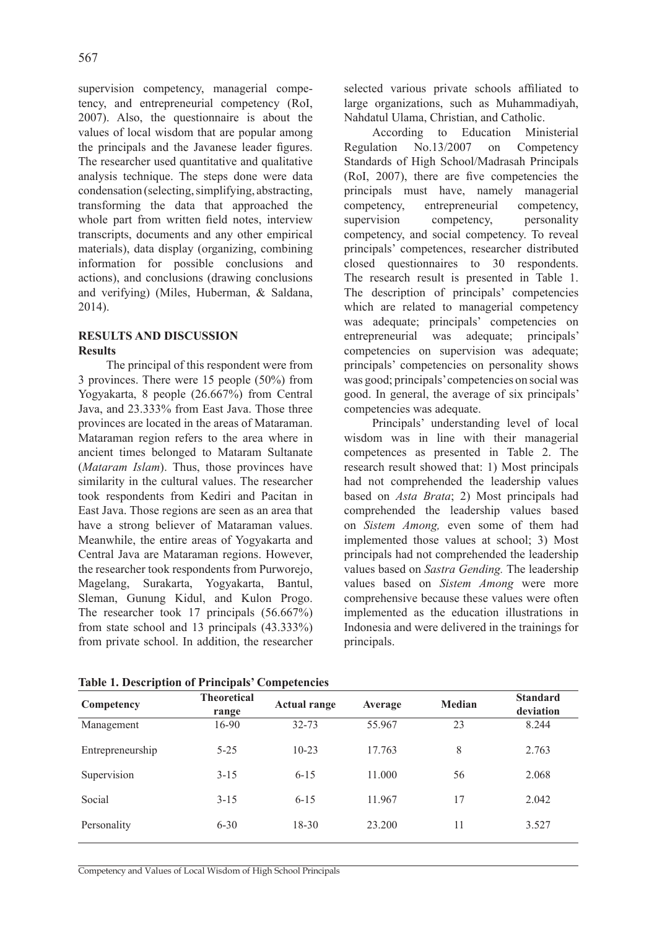supervision competency, managerial competency, and entrepreneurial competency (RoI, 2007). Also, the questionnaire is about the values of local wisdom that are popular among the principals and the Javanese leader figures. The researcher used quantitative and qualitative analysis technique. The steps done were data condensation (selecting, simplifying, abstracting, transforming the data that approached the whole part from written field notes, interview transcripts, documents and any other empirical materials), data display (organizing, combining information for possible conclusions and actions), and conclusions (drawing conclusions and verifying) (Miles, Huberman, & Saldana, 2014).

### **RESULTS AND DISCUSSION Results**

The principal of this respondent were from 3 provinces. There were 15 people (50%) from Yogyakarta, 8 people (26.667%) from Central Java, and 23.333% from East Java. Those three provinces are located in the areas of Mataraman. Mataraman region refers to the area where in ancient times belonged to Mataram Sultanate (*Mataram Islam*). Thus, those provinces have similarity in the cultural values. The researcher took respondents from Kediri and Pacitan in East Java. Those regions are seen as an area that have a strong believer of Mataraman values. Meanwhile, the entire areas of Yogyakarta and Central Java are Mataraman regions. However, the researcher took respondents from Purworejo, Magelang, Surakarta, Yogyakarta, Bantul, Sleman, Gunung Kidul, and Kulon Progo. The researcher took 17 principals (56.667%) from state school and 13 principals (43.333%) from private school. In addition, the researcher selected various private schools affiliated to large organizations, such as Muhammadiyah, Nahdatul Ulama, Christian, and Catholic.

According to Education Ministerial Regulation No.13/2007 on Competency Standards of High School/Madrasah Principals (RoI, 2007), there are five competencies the principals must have, namely managerial competency, entrepreneurial competency, supervision competency, personality competency, and social competency. To reveal principals' competences, researcher distributed closed questionnaires to 30 respondents. The research result is presented in Table 1. The description of principals' competencies which are related to managerial competency was adequate; principals' competencies on entrepreneurial was adequate; principals' competencies on supervision was adequate; principals' competencies on personality shows was good; principals' competencies on social was good. In general, the average of six principals' competencies was adequate.

Principals' understanding level of local wisdom was in line with their managerial competences as presented in Table 2. The research result showed that: 1) Most principals had not comprehended the leadership values based on *Asta Brata*; 2) Most principals had comprehended the leadership values based on *Sistem Among,* even some of them had implemented those values at school; 3) Most principals had not comprehended the leadership values based on *Sastra Gending.* The leadership values based on *Sistem Among* were more comprehensive because these values were often implemented as the education illustrations in Indonesia and were delivered in the trainings for principals.

| Competency       | <b>Theoretical</b><br>range | <b>Actual range</b> | Average | <b>Median</b> | <b>Standard</b><br>deviation |
|------------------|-----------------------------|---------------------|---------|---------------|------------------------------|
| Management       | 16-90                       | $32 - 73$           | 55.967  | 23            | 8.244                        |
| Entrepreneurship | $5 - 25$                    | $10 - 23$           | 17.763  | 8             | 2.763                        |
| Supervision      | $3 - 15$                    | $6 - 15$            | 11.000  | 56            | 2.068                        |
| Social           | $3 - 15$                    | $6 - 15$            | 11.967  | 17            | 2.042                        |
| Personality      | $6 - 30$                    | $18 - 30$           | 23.200  | 11            | 3.527                        |

**Table 1. Description of Principals' Competencies**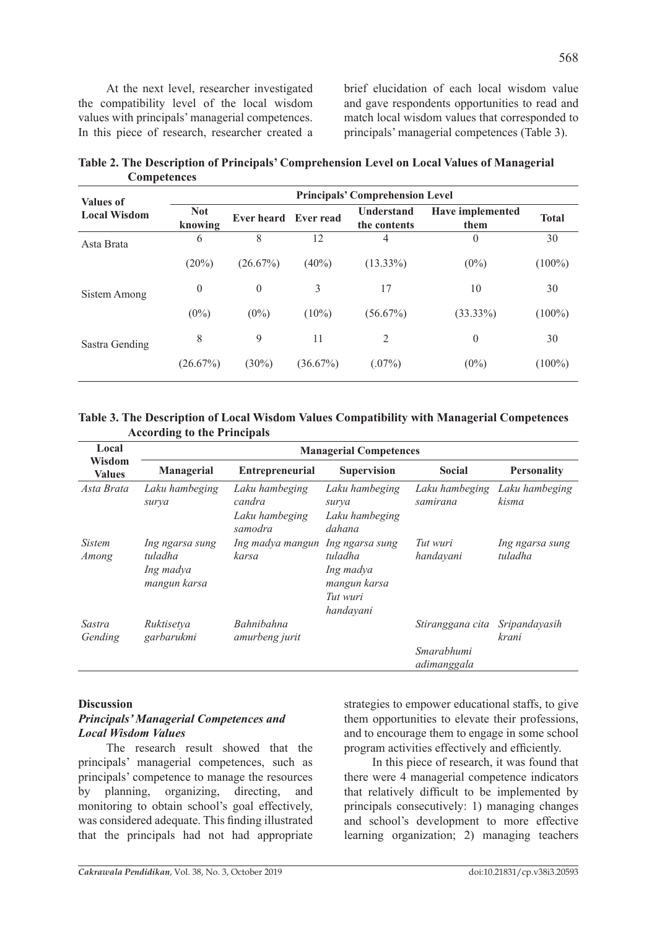At the next level, researcher investigated the compatibility level of the local wisdom values with principals' managerial competences. In this piece of research, researcher created a brief elucidation of each local wisdom value and gave respondents opportunities to read and match local wisdom values that corresponded to principals' managerial competences (Table 3).

| <b>Values of</b>    | <b>Principals' Comprehension Level</b> |                      |             |                                   |                                 |              |  |
|---------------------|----------------------------------------|----------------------|-------------|-----------------------------------|---------------------------------|--------------|--|
| <b>Local Wisdom</b> | <b>Not</b><br>knowing                  | Ever heard Ever read |             | <b>Understand</b><br>the contents | <b>Have implemented</b><br>them | <b>Total</b> |  |
| Asta Brata          | 6                                      | 8                    | 12          | 4                                 | $\Omega$                        | 30           |  |
|                     | $(20\%)$                               | (26.67%)             | $(40\%)$    | $(13.33\%)$                       | $(0\%)$                         | $(100\%)$    |  |
| Sistem Among        | $\theta$                               | $\theta$             | 3           | 17                                | 10                              | 30           |  |
|                     | $(0\%)$                                | $(0\%)$              | $(10\%)$    | $(56.67\%)$                       | $(33.33\%)$                     | $(100\%)$    |  |
| Sastra Gending      | 8                                      | 9                    | 11          | 2                                 | $\theta$                        | 30           |  |
|                     | (26.67%)                               | $(30\%)$             | $(36.67\%)$ | $(.07\%)$                         | $(0\%)$                         | $(100\%)$    |  |

**Table 2. The Description of Principals' Comprehension Level on Local Values of Managerial Competences**

#### **Table 3. The Description of Local Wisdom Values Compatibility with Managerial Competences According to the Principals**

| Local                   | <b>Managerial Competences</b>                           |                                                       |                                                                                  |                                               |                            |  |  |  |
|-------------------------|---------------------------------------------------------|-------------------------------------------------------|----------------------------------------------------------------------------------|-----------------------------------------------|----------------------------|--|--|--|
| Wisdom<br><b>Values</b> | <b>Managerial</b>                                       | <b>Entrepreneurial</b>                                | <b>Supervision</b>                                                               | <b>Social</b>                                 | <b>Personality</b>         |  |  |  |
| Asta Brata              | Laku hambeging<br>surya                                 | Laku hambeging<br>candra<br>Laku hambeging<br>samodra | Laku hambeging<br>surya<br>Laku hambeging<br>dahana                              | Laku hambeging<br>samirana                    | Laku hambeging<br>kisma    |  |  |  |
| <i>Sistem</i><br>Among  | Ing ngarsa sung<br>tuladha<br>Ing madya<br>mangun karsa | Ing madya mangun<br>karsa                             | Ing ngarsa sung<br>tuladha<br>Ing madya<br>mangun karsa<br>Tut wuri<br>handayani | Tut wuri<br>handayani                         | Ing ngarsa sung<br>tuladha |  |  |  |
| Sastra<br>Gending       | Ruktisetva<br>garbarukmi                                | Bahnibahna<br>amurbeng jurit                          |                                                                                  | Stiranggana cita<br>Smarabhumi<br>adimanggala | Sripandayasih<br>krani     |  |  |  |

#### **Discussion**

### *Principals' Managerial Competences and Local Wisdom Values*

The research result showed that the principals' managerial competences, such as principals' competence to manage the resources<br>by planning organizing directing and by planning, organizing, directing, and monitoring to obtain school's goal effectively, was considered adequate. This finding illustrated that the principals had not had appropriate strategies to empower educational staffs, to give them opportunities to elevate their professions, and to encourage them to engage in some school program activities effectively and efficiently.

In this piece of research, it was found that there were 4 managerial competence indicators that relatively difficult to be implemented by principals consecutively: 1) managing changes and school's development to more effective learning organization; 2) managing teachers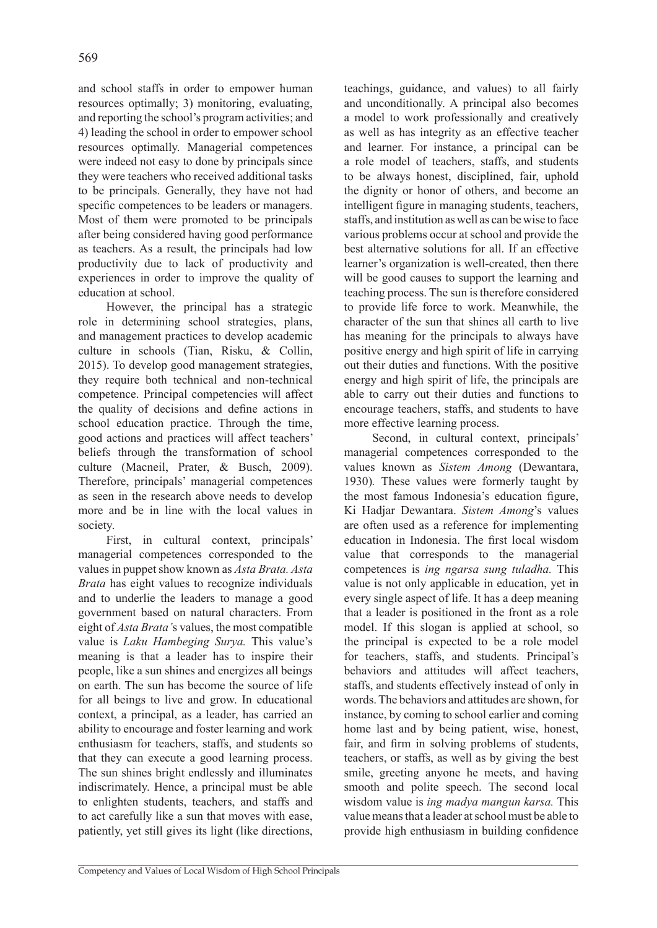and school staffs in order to empower human resources optimally; 3) monitoring, evaluating, and reporting the school's program activities; and 4) leading the school in order to empower school resources optimally. Managerial competences were indeed not easy to done by principals since they were teachers who received additional tasks to be principals. Generally, they have not had specific competences to be leaders or managers. Most of them were promoted to be principals after being considered having good performance as teachers. As a result, the principals had low productivity due to lack of productivity and experiences in order to improve the quality of education at school.

However, the principal has a strategic role in determining school strategies, plans, and management practices to develop academic culture in schools (Tian, Risku, & Collin, 2015). To develop good management strategies, they require both technical and non-technical competence. Principal competencies will affect the quality of decisions and define actions in school education practice. Through the time, good actions and practices will affect teachers' beliefs through the transformation of school culture (Macneil, Prater, & Busch, 2009). Therefore, principals' managerial competences as seen in the research above needs to develop more and be in line with the local values in society.

First, in cultural context, principals' managerial competences corresponded to the values in puppet show known as *Asta Brata. Asta Brata* has eight values to recognize individuals and to underlie the leaders to manage a good government based on natural characters. From eight of *Asta Brata'*s values, the most compatible value is *Laku Hambeging Surya.* This value's meaning is that a leader has to inspire their people, like a sun shines and energizes all beings on earth. The sun has become the source of life for all beings to live and grow. In educational context, a principal, as a leader, has carried an ability to encourage and foster learning and work enthusiasm for teachers, staffs, and students so that they can execute a good learning process. The sun shines bright endlessly and illuminates indiscrimately. Hence, a principal must be able to enlighten students, teachers, and staffs and to act carefully like a sun that moves with ease, patiently, yet still gives its light (like directions, teachings, guidance, and values) to all fairly and unconditionally. A principal also becomes a model to work professionally and creatively as well as has integrity as an effective teacher and learner. For instance, a principal can be a role model of teachers, staffs, and students to be always honest, disciplined, fair, uphold the dignity or honor of others, and become an intelligent figure in managing students, teachers, staffs, and institution as well as can be wise to face various problems occur at school and provide the best alternative solutions for all. If an effective learner's organization is well-created, then there will be good causes to support the learning and teaching process. The sun is therefore considered to provide life force to work. Meanwhile, the character of the sun that shines all earth to live has meaning for the principals to always have positive energy and high spirit of life in carrying out their duties and functions. With the positive energy and high spirit of life, the principals are able to carry out their duties and functions to encourage teachers, staffs, and students to have more effective learning process.

Second, in cultural context, principals' managerial competences corresponded to the values known as *Sistem Among* (Dewantara, 1930)*.* These values were formerly taught by the most famous Indonesia's education figure, Ki Hadjar Dewantara. *Sistem Among*'s values are often used as a reference for implementing education in Indonesia. The first local wisdom value that corresponds to the managerial competences is *ing ngarsa sung tuladha.* This value is not only applicable in education, yet in every single aspect of life. It has a deep meaning that a leader is positioned in the front as a role model. If this slogan is applied at school, so the principal is expected to be a role model for teachers, staffs, and students. Principal's behaviors and attitudes will affect teachers, staffs, and students effectively instead of only in words. The behaviors and attitudes are shown, for instance, by coming to school earlier and coming home last and by being patient, wise, honest, fair, and firm in solving problems of students, teachers, or staffs, as well as by giving the best smile, greeting anyone he meets, and having smooth and polite speech. The second local wisdom value is *ing madya mangun karsa.* This value means that a leader at school must be able to provide high enthusiasm in building confidence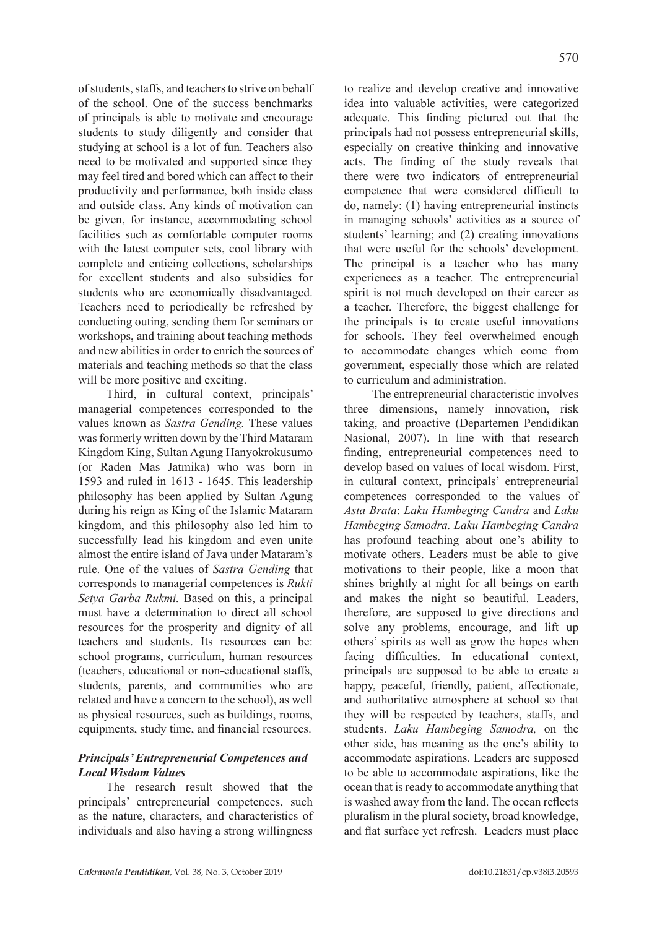of students, staffs, and teachers to strive on behalf of the school. One of the success benchmarks of principals is able to motivate and encourage students to study diligently and consider that studying at school is a lot of fun. Teachers also need to be motivated and supported since they may feel tired and bored which can affect to their productivity and performance, both inside class and outside class. Any kinds of motivation can be given, for instance, accommodating school facilities such as comfortable computer rooms with the latest computer sets, cool library with complete and enticing collections, scholarships for excellent students and also subsidies for students who are economically disadvantaged. Teachers need to periodically be refreshed by conducting outing, sending them for seminars or workshops, and training about teaching methods and new abilities in order to enrich the sources of materials and teaching methods so that the class will be more positive and exciting.

Third, in cultural context, principals' managerial competences corresponded to the values known as *Sastra Gending.* These values was formerly written down by the Third Mataram Kingdom King, Sultan Agung Hanyokrokusumo (or Raden Mas Jatmika) who was born in 1593 and ruled in 1613 - 1645. This leadership philosophy has been applied by Sultan Agung during his reign as King of the Islamic Mataram kingdom, and this philosophy also led him to successfully lead his kingdom and even unite almost the entire island of Java under Mataram's rule. One of the values of *Sastra Gending* that corresponds to managerial competences is *Rukti Setya Garba Rukmi.* Based on this, a principal must have a determination to direct all school resources for the prosperity and dignity of all teachers and students. Its resources can be: school programs, curriculum, human resources (teachers, educational or non-educational staffs, students, parents, and communities who are related and have a concern to the school), as well as physical resources, such as buildings, rooms, equipments, study time, and financial resources.

## *Principals' Entrepreneurial Competences and Local Wisdom Values*

The research result showed that the principals' entrepreneurial competences, such as the nature, characters, and characteristics of individuals and also having a strong willingness

to realize and develop creative and innovative idea into valuable activities, were categorized adequate. This finding pictured out that the principals had not possess entrepreneurial skills, especially on creative thinking and innovative acts. The finding of the study reveals that there were two indicators of entrepreneurial competence that were considered difficult to do, namely: (1) having entrepreneurial instincts in managing schools' activities as a source of students' learning; and (2) creating innovations that were useful for the schools' development. The principal is a teacher who has many experiences as a teacher. The entrepreneurial spirit is not much developed on their career as a teacher. Therefore, the biggest challenge for the principals is to create useful innovations for schools. They feel overwhelmed enough to accommodate changes which come from government, especially those which are related to curriculum and administration.

The entrepreneurial characteristic involves three dimensions, namely innovation, risk taking, and proactive (Departemen Pendidikan Nasional, 2007). In line with that research finding, entrepreneurial competences need to develop based on values of local wisdom. First, in cultural context, principals' entrepreneurial competences corresponded to the values of *Asta Brata*: *Laku Hambeging Candra* and *Laku Hambeging Samodra. Laku Hambeging Candra*  has profound teaching about one's ability to motivate others. Leaders must be able to give motivations to their people, like a moon that shines brightly at night for all beings on earth and makes the night so beautiful. Leaders, therefore, are supposed to give directions and solve any problems, encourage, and lift up others' spirits as well as grow the hopes when facing difficulties. In educational context, principals are supposed to be able to create a happy, peaceful, friendly, patient, affectionate, and authoritative atmosphere at school so that they will be respected by teachers, staffs, and students. *Laku Hambeging Samodra,* on the other side, has meaning as the one's ability to accommodate aspirations. Leaders are supposed to be able to accommodate aspirations, like the ocean that is ready to accommodate anything that is washed away from the land. The ocean reflects pluralism in the plural society, broad knowledge, and flat surface yet refresh. Leaders must place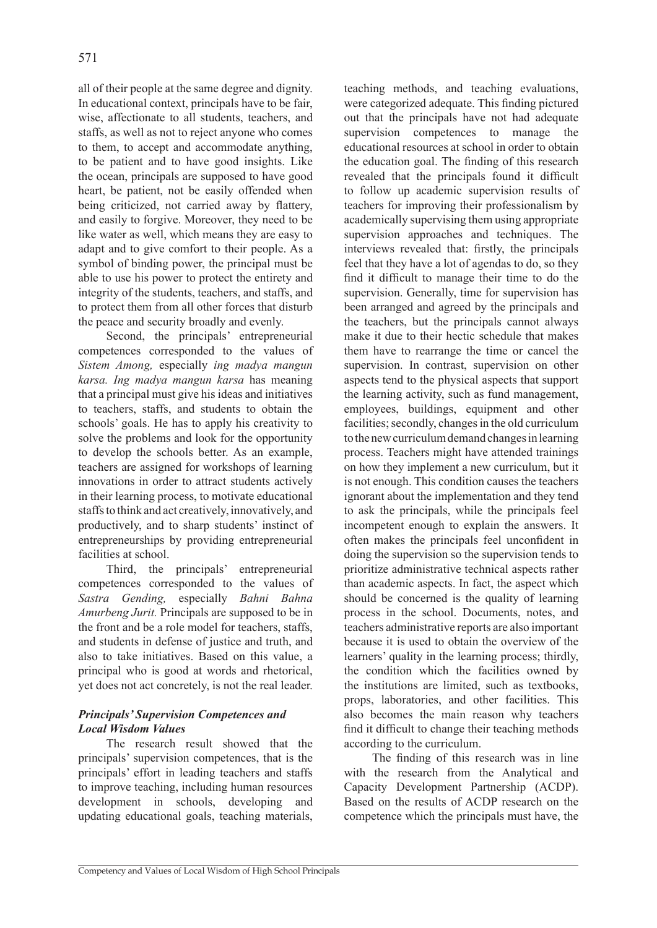all of their people at the same degree and dignity. In educational context, principals have to be fair, wise, affectionate to all students, teachers, and staffs, as well as not to reject anyone who comes to them, to accept and accommodate anything, to be patient and to have good insights. Like the ocean, principals are supposed to have good heart, be patient, not be easily offended when being criticized, not carried away by flattery, and easily to forgive. Moreover, they need to be like water as well, which means they are easy to adapt and to give comfort to their people. As a symbol of binding power, the principal must be able to use his power to protect the entirety and integrity of the students, teachers, and staffs, and to protect them from all other forces that disturb the peace and security broadly and evenly.

Second, the principals' entrepreneurial competences corresponded to the values of *Sistem Among,* especially *ing madya mangun karsa. Ing madya mangun karsa* has meaning that a principal must give his ideas and initiatives to teachers, staffs, and students to obtain the schools' goals. He has to apply his creativity to solve the problems and look for the opportunity to develop the schools better. As an example, teachers are assigned for workshops of learning innovations in order to attract students actively in their learning process, to motivate educational staffs to think and act creatively, innovatively, and productively, and to sharp students' instinct of entrepreneurships by providing entrepreneurial facilities at school.

Third, the principals' entrepreneurial competences corresponded to the values of *Sastra Gending,* especially *Bahni Bahna Amurbeng Jurit.* Principals are supposed to be in the front and be a role model for teachers, staffs, and students in defense of justice and truth, and also to take initiatives. Based on this value, a principal who is good at words and rhetorical, yet does not act concretely, is not the real leader.

# *Principals' Supervision Competences and Local Wisdom Values*

The research result showed that the principals' supervision competences, that is the principals' effort in leading teachers and staffs to improve teaching, including human resources development in schools, developing and updating educational goals, teaching materials, teaching methods, and teaching evaluations, were categorized adequate. This finding pictured out that the principals have not had adequate supervision competences to manage the educational resources at school in order to obtain the education goal. The finding of this research revealed that the principals found it difficult to follow up academic supervision results of teachers for improving their professionalism by academically supervising them using appropriate supervision approaches and techniques. The interviews revealed that: firstly, the principals feel that they have a lot of agendas to do, so they find it difficult to manage their time to do the supervision. Generally, time for supervision has been arranged and agreed by the principals and the teachers, but the principals cannot always make it due to their hectic schedule that makes them have to rearrange the time or cancel the supervision. In contrast, supervision on other aspects tend to the physical aspects that support the learning activity, such as fund management, employees, buildings, equipment and other facilities; secondly, changes in the old curriculum to the new curriculum demand changes in learning process. Teachers might have attended trainings on how they implement a new curriculum, but it is not enough. This condition causes the teachers ignorant about the implementation and they tend to ask the principals, while the principals feel incompetent enough to explain the answers. It often makes the principals feel unconfident in doing the supervision so the supervision tends to prioritize administrative technical aspects rather than academic aspects. In fact, the aspect which should be concerned is the quality of learning process in the school. Documents, notes, and teachers administrative reports are also important because it is used to obtain the overview of the learners' quality in the learning process; thirdly, the condition which the facilities owned by the institutions are limited, such as textbooks, props, laboratories, and other facilities. This also becomes the main reason why teachers find it difficult to change their teaching methods according to the curriculum.

The finding of this research was in line with the research from the Analytical and Capacity Development Partnership (ACDP). Based on the results of ACDP research on the competence which the principals must have, the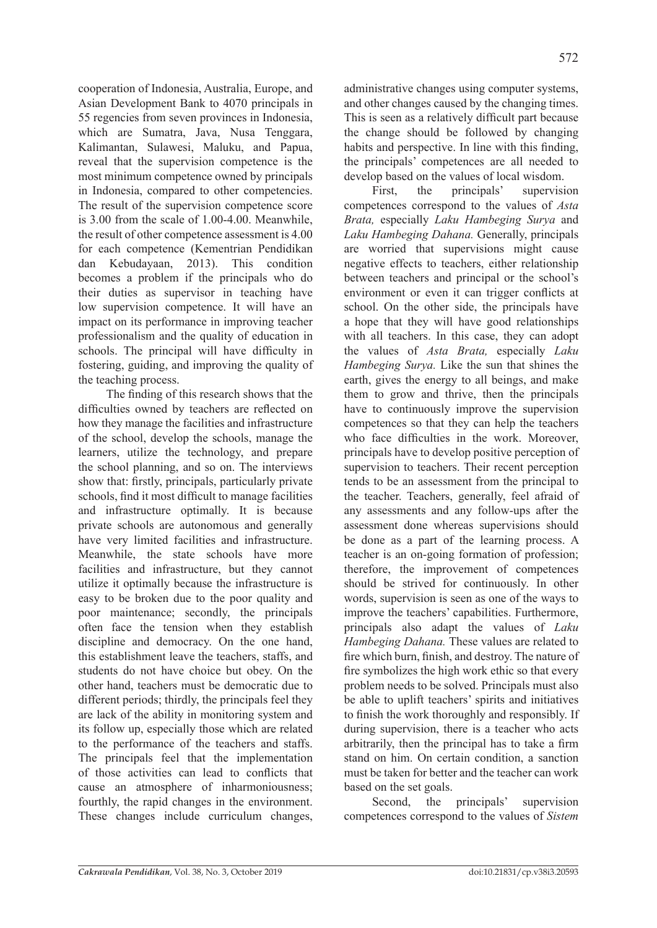cooperation of Indonesia, Australia, Europe, and Asian Development Bank to 4070 principals in 55 regencies from seven provinces in Indonesia, which are Sumatra, Java, Nusa Tenggara, Kalimantan, Sulawesi, Maluku, and Papua, reveal that the supervision competence is the most minimum competence owned by principals in Indonesia, compared to other competencies. The result of the supervision competence score is 3.00 from the scale of 1.00-4.00. Meanwhile, the result of other competence assessment is 4.00 for each competence (Kementrian Pendidikan dan Kebudayaan, 2013). This condition becomes a problem if the principals who do their duties as supervisor in teaching have low supervision competence. It will have an impact on its performance in improving teacher professionalism and the quality of education in schools. The principal will have difficulty in fostering, guiding, and improving the quality of the teaching process.

The finding of this research shows that the difficulties owned by teachers are reflected on how they manage the facilities and infrastructure of the school, develop the schools, manage the learners, utilize the technology, and prepare the school planning, and so on. The interviews show that: firstly, principals, particularly private schools, find it most difficult to manage facilities and infrastructure optimally. It is because private schools are autonomous and generally have very limited facilities and infrastructure. Meanwhile, the state schools have more facilities and infrastructure, but they cannot utilize it optimally because the infrastructure is easy to be broken due to the poor quality and poor maintenance; secondly, the principals often face the tension when they establish discipline and democracy. On the one hand, this establishment leave the teachers, staffs, and students do not have choice but obey. On the other hand, teachers must be democratic due to different periods; thirdly, the principals feel they are lack of the ability in monitoring system and its follow up, especially those which are related to the performance of the teachers and staffs. The principals feel that the implementation of those activities can lead to conflicts that cause an atmosphere of inharmoniousness; fourthly, the rapid changes in the environment. These changes include curriculum changes, administrative changes using computer systems, and other changes caused by the changing times. This is seen as a relatively difficult part because the change should be followed by changing habits and perspective. In line with this finding, the principals' competences are all needed to develop based on the values of local wisdom.

First, the principals' supervision competences correspond to the values of *Asta Brata,* especially *Laku Hambeging Surya* and *Laku Hambeging Dahana.* Generally, principals are worried that supervisions might cause negative effects to teachers, either relationship between teachers and principal or the school's environment or even it can trigger conflicts at school. On the other side, the principals have a hope that they will have good relationships with all teachers. In this case, they can adopt the values of *Asta Brata,* especially *Laku Hambeging Surya.* Like the sun that shines the earth, gives the energy to all beings, and make them to grow and thrive, then the principals have to continuously improve the supervision competences so that they can help the teachers who face difficulties in the work. Moreover, principals have to develop positive perception of supervision to teachers. Their recent perception tends to be an assessment from the principal to the teacher. Teachers, generally, feel afraid of any assessments and any follow-ups after the assessment done whereas supervisions should be done as a part of the learning process. A teacher is an on-going formation of profession; therefore, the improvement of competences should be strived for continuously. In other words, supervision is seen as one of the ways to improve the teachers' capabilities. Furthermore, principals also adapt the values of *Laku Hambeging Dahana.* These values are related to fire which burn, finish, and destroy. The nature of fire symbolizes the high work ethic so that every problem needs to be solved. Principals must also be able to uplift teachers' spirits and initiatives to finish the work thoroughly and responsibly. If during supervision, there is a teacher who acts arbitrarily, then the principal has to take a firm stand on him. On certain condition, a sanction must be taken for better and the teacher can work based on the set goals.

Second, the principals' supervision competences correspond to the values of *Sistem*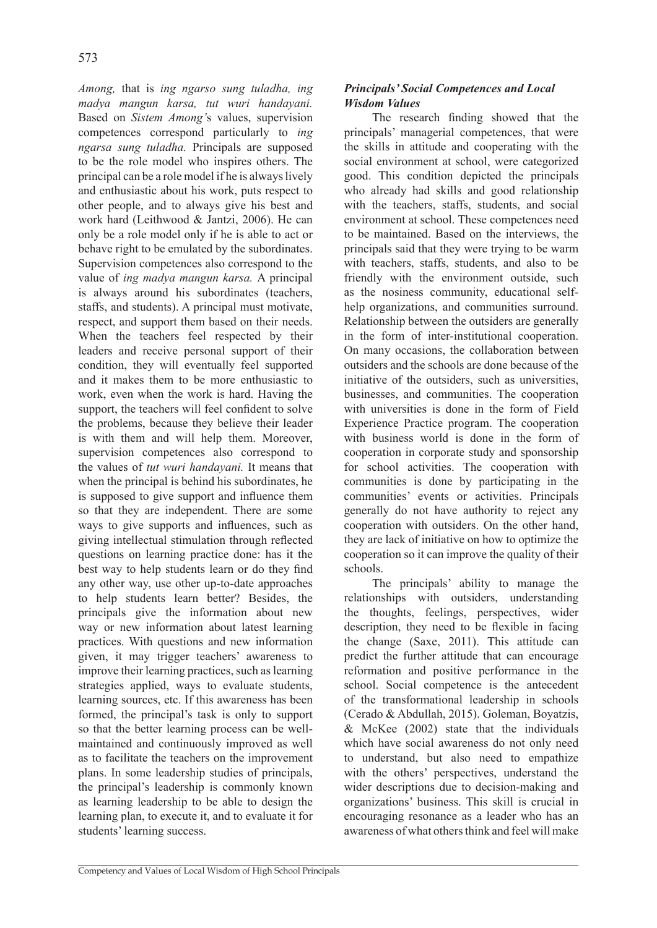*Among,* that is *ing ngarso sung tuladha, ing madya mangun karsa, tut wuri handayani.* Based on *Sistem Among'*s values, supervision competences correspond particularly to *ing ngarsa sung tuladha.* Principals are supposed to be the role model who inspires others. The principal can be a role model if he is always lively and enthusiastic about his work, puts respect to other people, and to always give his best and work hard (Leithwood & Jantzi, 2006). He can only be a role model only if he is able to act or behave right to be emulated by the subordinates. Supervision competences also correspond to the value of *ing madya mangun karsa.* A principal is always around his subordinates (teachers, staffs, and students). A principal must motivate, respect, and support them based on their needs. When the teachers feel respected by their leaders and receive personal support of their condition, they will eventually feel supported and it makes them to be more enthusiastic to work, even when the work is hard. Having the support, the teachers will feel confident to solve the problems, because they believe their leader is with them and will help them. Moreover, supervision competences also correspond to the values of *tut wuri handayani.* It means that when the principal is behind his subordinates, he is supposed to give support and influence them so that they are independent. There are some ways to give supports and influences, such as giving intellectual stimulation through reflected questions on learning practice done: has it the best way to help students learn or do they find any other way, use other up-to-date approaches to help students learn better? Besides, the principals give the information about new way or new information about latest learning practices. With questions and new information given, it may trigger teachers' awareness to improve their learning practices, such as learning strategies applied, ways to evaluate students, learning sources, etc. If this awareness has been formed, the principal's task is only to support so that the better learning process can be wellmaintained and continuously improved as well as to facilitate the teachers on the improvement plans. In some leadership studies of principals, the principal's leadership is commonly known as learning leadership to be able to design the learning plan, to execute it, and to evaluate it for students' learning success.

# *Principals' Social Competences and Local Wisdom Values*

The research finding showed that the principals' managerial competences, that were the skills in attitude and cooperating with the social environment at school, were categorized good. This condition depicted the principals who already had skills and good relationship with the teachers, staffs, students, and social environment at school. These competences need to be maintained. Based on the interviews, the principals said that they were trying to be warm with teachers, staffs, students, and also to be friendly with the environment outside, such as the nosiness community, educational selfhelp organizations, and communities surround. Relationship between the outsiders are generally in the form of inter-institutional cooperation. On many occasions, the collaboration between outsiders and the schools are done because of the initiative of the outsiders, such as universities, businesses, and communities. The cooperation with universities is done in the form of Field Experience Practice program. The cooperation with business world is done in the form of cooperation in corporate study and sponsorship for school activities. The cooperation with communities is done by participating in the communities' events or activities. Principals generally do not have authority to reject any cooperation with outsiders. On the other hand, they are lack of initiative on how to optimize the cooperation so it can improve the quality of their schools.

The principals' ability to manage the relationships with outsiders, understanding the thoughts, feelings, perspectives, wider description, they need to be flexible in facing the change (Saxe, 2011). This attitude can predict the further attitude that can encourage reformation and positive performance in the school. Social competence is the antecedent of the transformational leadership in schools (Cerado & Abdullah, 2015). Goleman, Boyatzis, & McKee (2002) state that the individuals which have social awareness do not only need to understand, but also need to empathize with the others' perspectives, understand the wider descriptions due to decision-making and organizations' business. This skill is crucial in encouraging resonance as a leader who has an awareness of what others think and feel will make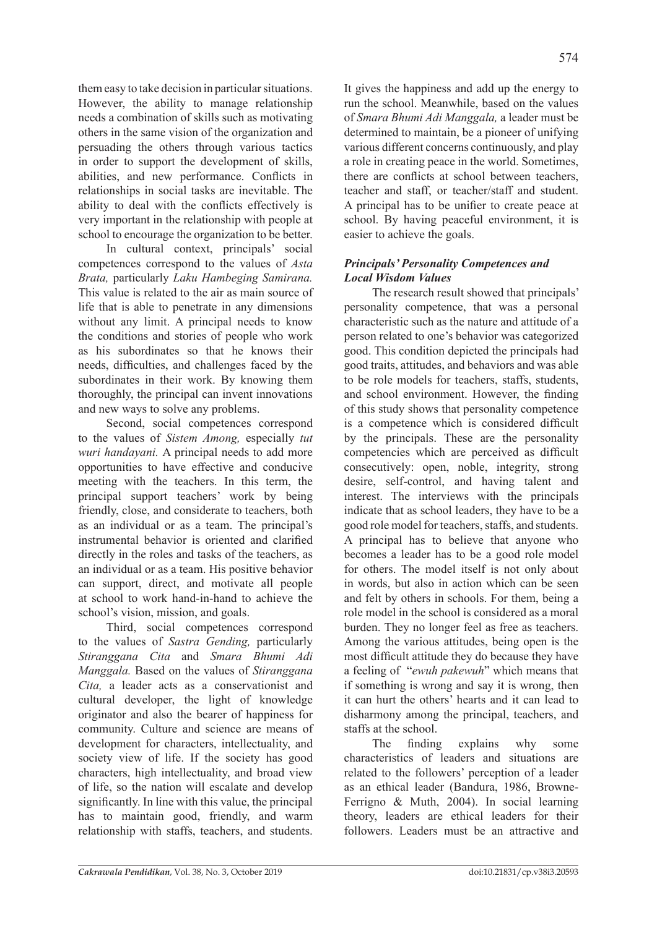them easy to take decision in particular situations. However, the ability to manage relationship needs a combination of skills such as motivating others in the same vision of the organization and persuading the others through various tactics in order to support the development of skills, abilities, and new performance. Conflicts in

relationships in social tasks are inevitable. The ability to deal with the conflicts effectively is very important in the relationship with people at school to encourage the organization to be better.

In cultural context, principals' social competences correspond to the values of *Asta Brata,* particularly *Laku Hambeging Samirana.*  This value is related to the air as main source of life that is able to penetrate in any dimensions without any limit. A principal needs to know the conditions and stories of people who work as his subordinates so that he knows their needs, difficulties, and challenges faced by the subordinates in their work. By knowing them thoroughly, the principal can invent innovations and new ways to solve any problems.

Second, social competences correspond to the values of *Sistem Among,* especially *tut wuri handayani.* A principal needs to add more opportunities to have effective and conducive meeting with the teachers. In this term, the principal support teachers' work by being friendly, close, and considerate to teachers, both as an individual or as a team. The principal's instrumental behavior is oriented and clarified directly in the roles and tasks of the teachers, as an individual or as a team. His positive behavior can support, direct, and motivate all people at school to work hand-in-hand to achieve the school's vision, mission, and goals.

Third, social competences correspond to the values of *Sastra Gending,* particularly *Stiranggana Cita* and *Smara Bhumi Adi Manggala.* Based on the values of *Stiranggana Cita,* a leader acts as a conservationist and cultural developer, the light of knowledge originator and also the bearer of happiness for community. Culture and science are means of development for characters, intellectuality, and society view of life. If the society has good characters, high intellectuality, and broad view of life, so the nation will escalate and develop significantly. In line with this value, the principal has to maintain good, friendly, and warm relationship with staffs, teachers, and students.

574

It gives the happiness and add up the energy to run the school. Meanwhile, based on the values of *Smara Bhumi Adi Manggala,* a leader must be determined to maintain, be a pioneer of unifying various different concerns continuously, and play a role in creating peace in the world. Sometimes, there are conflicts at school between teachers, teacher and staff, or teacher/staff and student. A principal has to be unifier to create peace at school. By having peaceful environment, it is easier to achieve the goals.

## *Principals' Personality Competences and Local Wisdom Values*

The research result showed that principals' personality competence, that was a personal characteristic such as the nature and attitude of a person related to one's behavior was categorized good. This condition depicted the principals had good traits, attitudes, and behaviors and was able to be role models for teachers, staffs, students, and school environment. However, the finding of this study shows that personality competence is a competence which is considered difficult by the principals. These are the personality competencies which are perceived as difficult consecutively: open, noble, integrity, strong desire, self-control, and having talent and interest. The interviews with the principals indicate that as school leaders, they have to be a good role model for teachers, staffs, and students. A principal has to believe that anyone who becomes a leader has to be a good role model for others. The model itself is not only about in words, but also in action which can be seen and felt by others in schools. For them, being a role model in the school is considered as a moral burden. They no longer feel as free as teachers. Among the various attitudes, being open is the most difficult attitude they do because they have a feeling of "*ewuh pakewuh*" which means that if something is wrong and say it is wrong, then it can hurt the others' hearts and it can lead to disharmony among the principal, teachers, and staffs at the school.

The finding explains why some characteristics of leaders and situations are related to the followers' perception of a leader as an ethical leader (Bandura, 1986, Browne-Ferrigno & Muth, 2004). In social learning theory, leaders are ethical leaders for their followers. Leaders must be an attractive and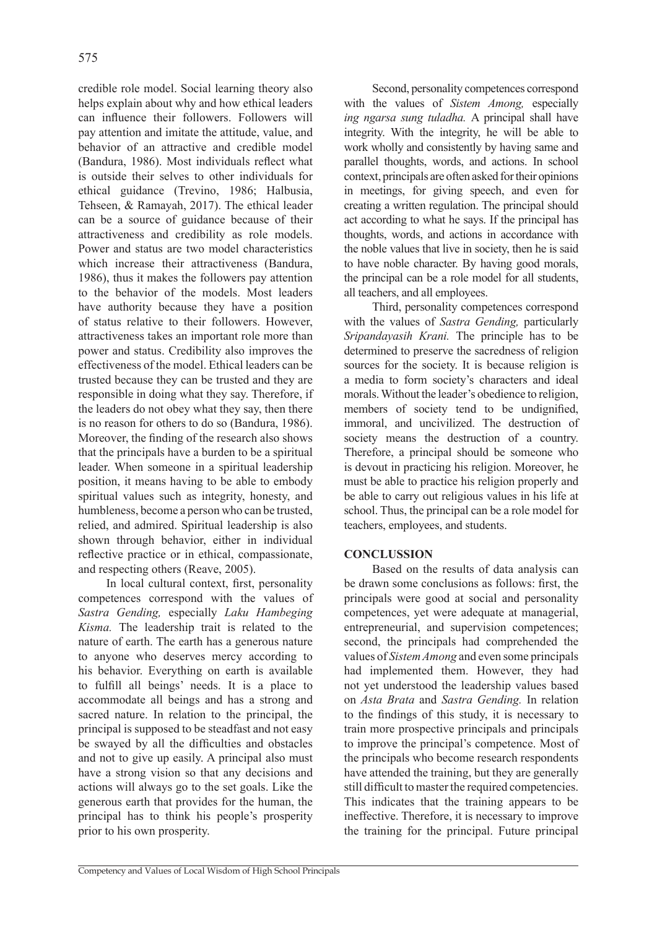credible role model. Social learning theory also helps explain about why and how ethical leaders can influence their followers. Followers will pay attention and imitate the attitude, value, and behavior of an attractive and credible model (Bandura, 1986). Most individuals reflect what is outside their selves to other individuals for ethical guidance (Trevino, 1986; Halbusia, Tehseen, & Ramayah, 2017). The ethical leader can be a source of guidance because of their attractiveness and credibility as role models. Power and status are two model characteristics which increase their attractiveness (Bandura, 1986), thus it makes the followers pay attention to the behavior of the models. Most leaders have authority because they have a position of status relative to their followers. However, attractiveness takes an important role more than power and status. Credibility also improves the effectiveness of the model. Ethical leaders can be trusted because they can be trusted and they are responsible in doing what they say. Therefore, if the leaders do not obey what they say, then there is no reason for others to do so (Bandura, 1986). Moreover, the finding of the research also shows that the principals have a burden to be a spiritual leader. When someone in a spiritual leadership position, it means having to be able to embody spiritual values such as integrity, honesty, and humbleness, become a person who can be trusted, relied, and admired. Spiritual leadership is also shown through behavior, either in individual reflective practice or in ethical, compassionate, and respecting others (Reave, 2005).

In local cultural context, first, personality competences correspond with the values of *Sastra Gending,* especially *Laku Hambeging Kisma.* The leadership trait is related to the nature of earth. The earth has a generous nature to anyone who deserves mercy according to his behavior. Everything on earth is available to fulfill all beings' needs. It is a place to accommodate all beings and has a strong and sacred nature. In relation to the principal, the principal is supposed to be steadfast and not easy be swayed by all the difficulties and obstacles and not to give up easily. A principal also must have a strong vision so that any decisions and actions will always go to the set goals. Like the generous earth that provides for the human, the principal has to think his people's prosperity prior to his own prosperity.

Second, personality competences correspond with the values of *Sistem Among,* especially *ing ngarsa sung tuladha.* A principal shall have integrity. With the integrity, he will be able to work wholly and consistently by having same and parallel thoughts, words, and actions. In school context, principals are often asked for their opinions in meetings, for giving speech, and even for creating a written regulation. The principal should act according to what he says. If the principal has thoughts, words, and actions in accordance with the noble values that live in society, then he is said to have noble character. By having good morals, the principal can be a role model for all students, all teachers, and all employees.

Third, personality competences correspond with the values of *Sastra Gending,* particularly *Sripandayasih Krani.* The principle has to be determined to preserve the sacredness of religion sources for the society. It is because religion is a media to form society's characters and ideal morals. Without the leader's obedience to religion, members of society tend to be undignified, immoral, and uncivilized. The destruction of society means the destruction of a country. Therefore, a principal should be someone who is devout in practicing his religion. Moreover, he must be able to practice his religion properly and be able to carry out religious values in his life at school. Thus, the principal can be a role model for teachers, employees, and students.

## **CONCLUSSION**

Based on the results of data analysis can be drawn some conclusions as follows: first, the principals were good at social and personality competences, yet were adequate at managerial, entrepreneurial, and supervision competences; second, the principals had comprehended the values of *Sistem Among* and even some principals had implemented them. However, they had not yet understood the leadership values based on *Asta Brata* and *Sastra Gending.* In relation to the findings of this study, it is necessary to train more prospective principals and principals to improve the principal's competence. Most of the principals who become research respondents have attended the training, but they are generally still difficult to master the required competencies. This indicates that the training appears to be ineffective. Therefore, it is necessary to improve the training for the principal. Future principal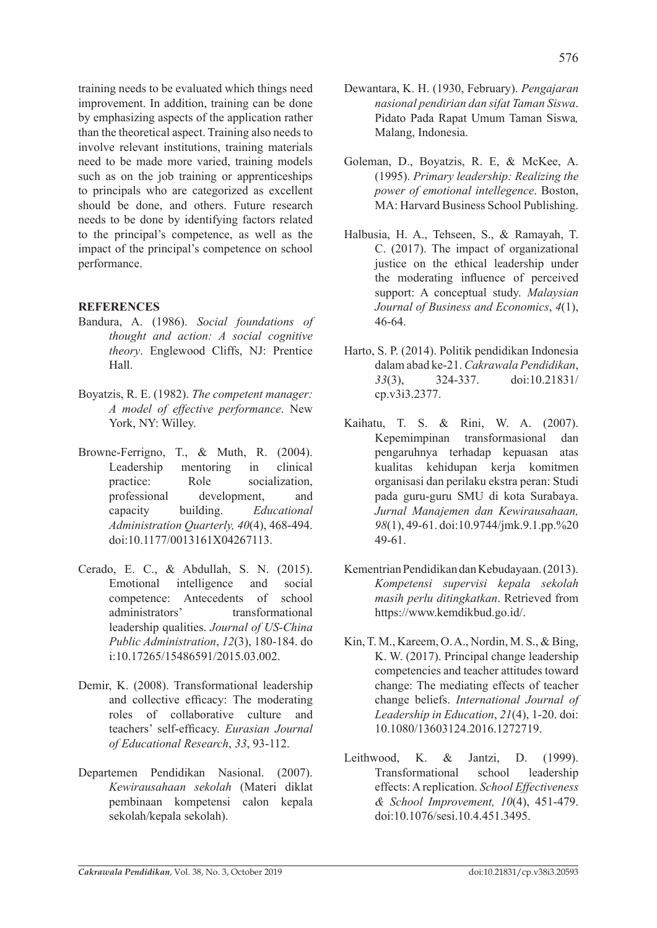training needs to be evaluated which things need improvement. In addition, training can be done by emphasizing aspects of the application rather than the theoretical aspect. Training also needs to involve relevant institutions, training materials need to be made more varied, training models such as on the job training or apprenticeships to principals who are categorized as excellent should be done, and others. Future research needs to be done by identifying factors related

to the principal's competence, as well as the impact of the principal's competence on school performance.

# **REFERENCES**

- Bandura, A. (1986). *Social foundations of thought and action: A social cognitive theory*. Englewood Cliffs, NJ: Prentice Hall.
- Boyatzis, R. E. (1982). *The competent manager: A model of effective performance*. New York, NY: Willey.
- Browne-Ferrigno, T., & Muth, R. (2004). Leadership mentoring in clinical practice: Role socialization, professional development, and capacity building. *Educational Administration Quarterly, 40*(4), 468-494. doi:10.1177/0013161X04267113.
- Cerado, E. C., & Abdullah, S. N. (2015). Emotional intelligence and social competence: Antecedents of school administrators' transformational leadership qualities. *Journal of US-China Public Administration*, *12*(3), 180-184. do i:10.17265/15486591/2015.03.002.
- Demir, K. (2008). Transformational leadership and collective efficacy: The moderating roles of collaborative culture and teachers' self-efficacy. *Eurasian Journal of Educational Research*, *33*, 93-112.
- Departemen Pendidikan Nasional. (2007). *Kewirausahaan sekolah* (Materi diklat pembinaan kompetensi calon kepala sekolah/kepala sekolah).
- Dewantara, K. H. (1930, February). *Pengajaran nasional pendirian dan sifat Taman Siswa*. Pidato Pada Rapat Umum Taman Siswa*,* Malang, Indonesia.
- Goleman, D., Boyatzis, R. E, & McKee, A. (1995). *Primary leadership: Realizing the power of emotional intellegence*. Boston, MA: Harvard Business School Publishing.
- Halbusia, H. A., Tehseen, S., & Ramayah, T. C. (2017). The impact of organizational justice on the ethical leadership under the moderating influence of perceived support: A conceptual study. *Malaysian Journal of Business and Economics*, *4*(1), 46-64.
- Harto, S. P. (2014). Politik pendidikan Indonesia dalam abad ke-21. *Cakrawala Pendidikan*, *33*(3), 324-337. doi:10.21831/ cp.v3i3.2377.
- Kaihatu, T. S. & Rini, W. A. (2007). Kepemimpinan transformasional dan pengaruhnya terhadap kepuasan atas kualitas kehidupan kerja komitmen organisasi dan perilaku ekstra peran: Studi pada guru-guru SMU di kota Surabaya. *Jurnal Manajemen dan Kewirausahaan, 98*(1), 49-61. doi:10.9744/jmk.9.1.pp.%20 49-61.
- Kementrian Pendidikan dan Kebudayaan. (2013). *Kompetensi supervisi kepala sekolah masih perlu ditingkatkan*. Retrieved from https://www.kemdikbud.go.id/.
- Kin, T. M., Kareem, O. A., Nordin, M. S., & Bing, K. W. (2017). Principal change leadership competencies and teacher attitudes toward change: The mediating effects of teacher change beliefs. *International Journal of Leadership in Education*, *21*(4), 1-20. doi: 10.1080/13603124.2016.1272719.
- Leithwood, K. & Jantzi, D. (1999). Transformational school leadership effects: A replication. *School Effectiveness & School Improvement, 10*(4), 451-479. doi:10.1076/sesi.10.4.451.3495.